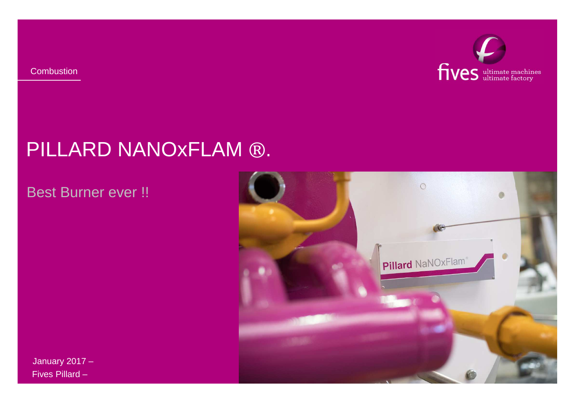**Combustion** 



# PILLARD NANOxFLAM ®.

### Best Burner ever !!



January 2017 –Fives Pillard –

Confidential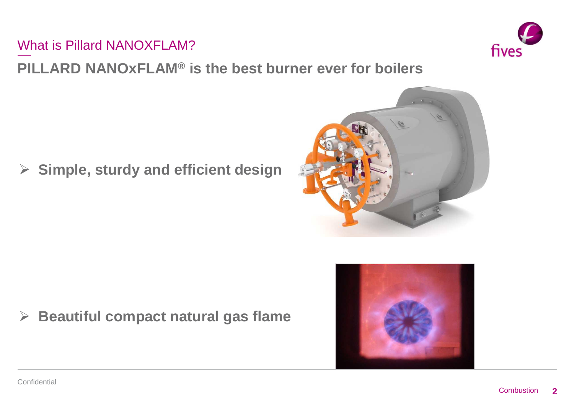

What is Pillard NANOXFLAM?

**PILLARD NANOxFLAM® is the best burner ever for boilers**

 $\blacktriangleright$ **Simple, sturdy and efficient design**

 $\blacktriangleright$ **Beautiful compact natural gas flame**





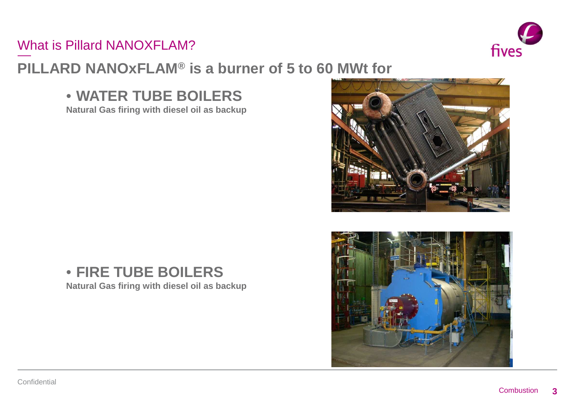

#### What is Pillard NANOXFLAM?

# **PILLARD NANOxFLAM® is a burner of 5 to 60 MWt for**

• **WATER TUBE BOILERS** 

**Natural Gas firing with diesel oil as backup**





• **FIRE TUBE BOILERSNatural Gas firing with diesel oil as backup**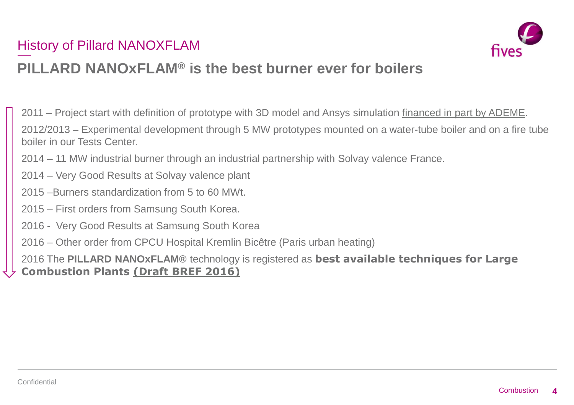## History of Pillard NANOXFLAM



# **PILLARD NANOxFLAM® is the best burner ever for boilers**

2011 – Project start with definition of prototype with 3D model and Ansys simulation financed in part by ADEME. 2012/2013 – Experimental development through 5 MW prototypes mounted on a water-tube boiler and on a fire tube boiler in our Tests Center.

- 2014 11 MW industrial burner through an industrial partnership with Solvay valence France.
- 2014 Very Good Results at Solvay valence plant
- 2015 –Burners standardization from 5 to 60 MWt.
- 2015 First orders from Samsung South Korea.
- 2016 Very Good Results at Samsung South Korea
- 2016 Other order from CPCU Hospital Kremlin Bicêtre (Paris urban heating)

2016 The **PILLARD NANOxFLAM®** technology is registered as **best available techniques for Large Combustion Plants (Draft BREF 2016)**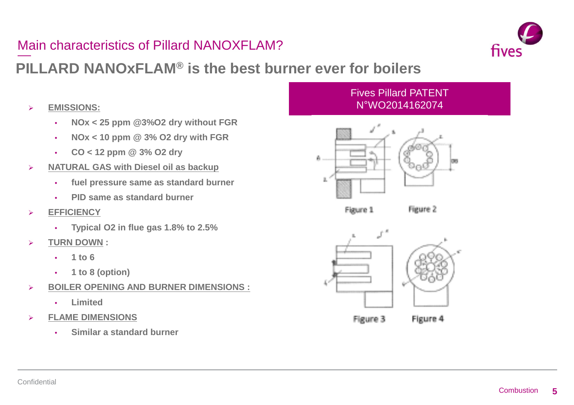### Main characteristics of Pillard NANOXFLAM?



### **PILLARD NANOxFLAM® is the best burner ever for boilers**

- $\blacktriangleright$ 
	- •**NOx < 25 ppm @3%O2 dry without FGR**
	- •**NOx < 10 ppm @ 3% O2 dry with FGR**
	- •**CO < 12 ppm @ 3% O2 dry**
- $\blacktriangleright$  **NATURAL GAS with Diesel oil as backup**
	- •**fuel pressure same as standard burner**
	- •**PID same as standard burner**
- $\blacktriangleright$  **EFFICIENCY**
	- •**Typical O2 in flue gas 1.8% to 2.5%**
- $\blacktriangleright$  **TURN DOWN :**
	- •**1 to 6**
	- •**1 to 8 (option)**
- ⋗ **BOILER OPENING AND BURNER DIMENSIONS :**
	- •**Limited**
- ➤ **FLAME DIMENSIONS**
	- •**Similar a standard burner**

### Fives Pillard PATENT→ EMISSIONS: N°WO2014162074



Figure 1

Figure 2



Figure 4 Figure 3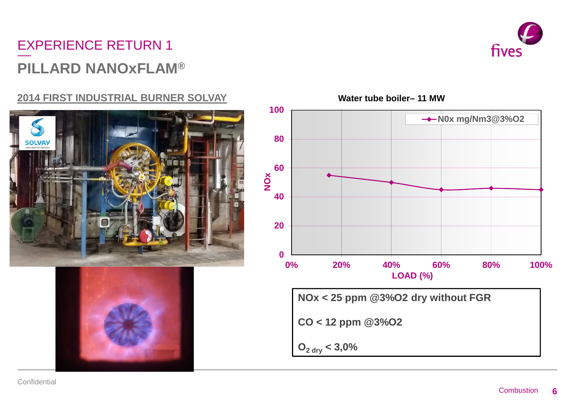# EXPERIENCE RETURN 1**PILLARD NANOxFLAM®**

#### **2014 FIRST INDUSTRIAL BURNER SOLVAY**





**Water tube boiler– 11 MW**

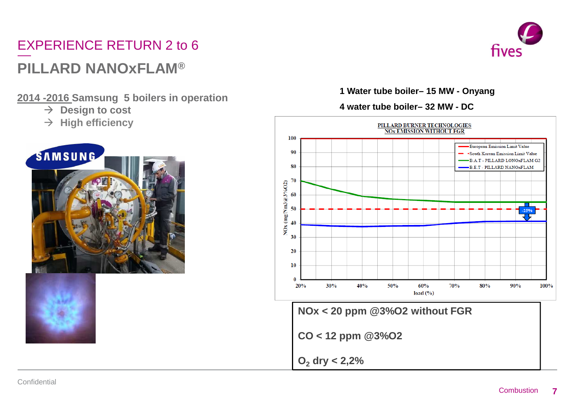# EXPERIENCE RETURN 2 to 6**PILLARD NANOxFLAM®**

**2014 -2016 Samsung 5 boilers in operation**

- **Design to cost**
- **High efficiency**





#### **1 Water tube boiler– 15 MW - Onyang**

#### **4 water tube boiler– 32 MW - DC**

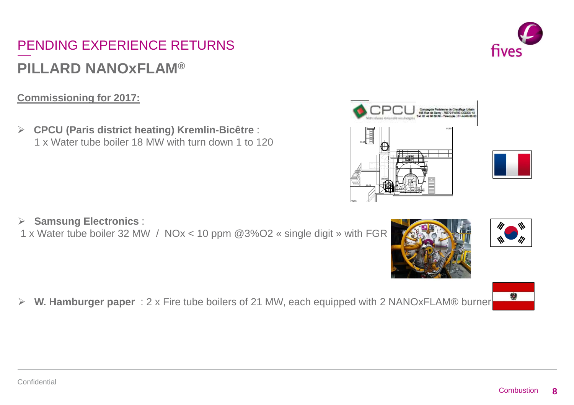# PENDING EXPERIENCE RETURNS**PILLARD NANOxFLAM®**

#### **Commissioning for 2017:**

 $\blacktriangleright$  **CPCU (Paris district heating) Kremlin-Bicêtre** : 1 x Water tube boiler 18 MW with turn down 1 to 120

#### $\sum_{i=1}^{n}$ **Samsung Electronics** :

1 x Water tube boiler 32 MW / NOx < 10 ppm @3%O2 « single digit » with FGR

 $\blacktriangleright$ **W. Hamburger paper** : 2 x Fire tube boilers of 21 MW, each equipped with 2 NANOxFLAM® burner





赫